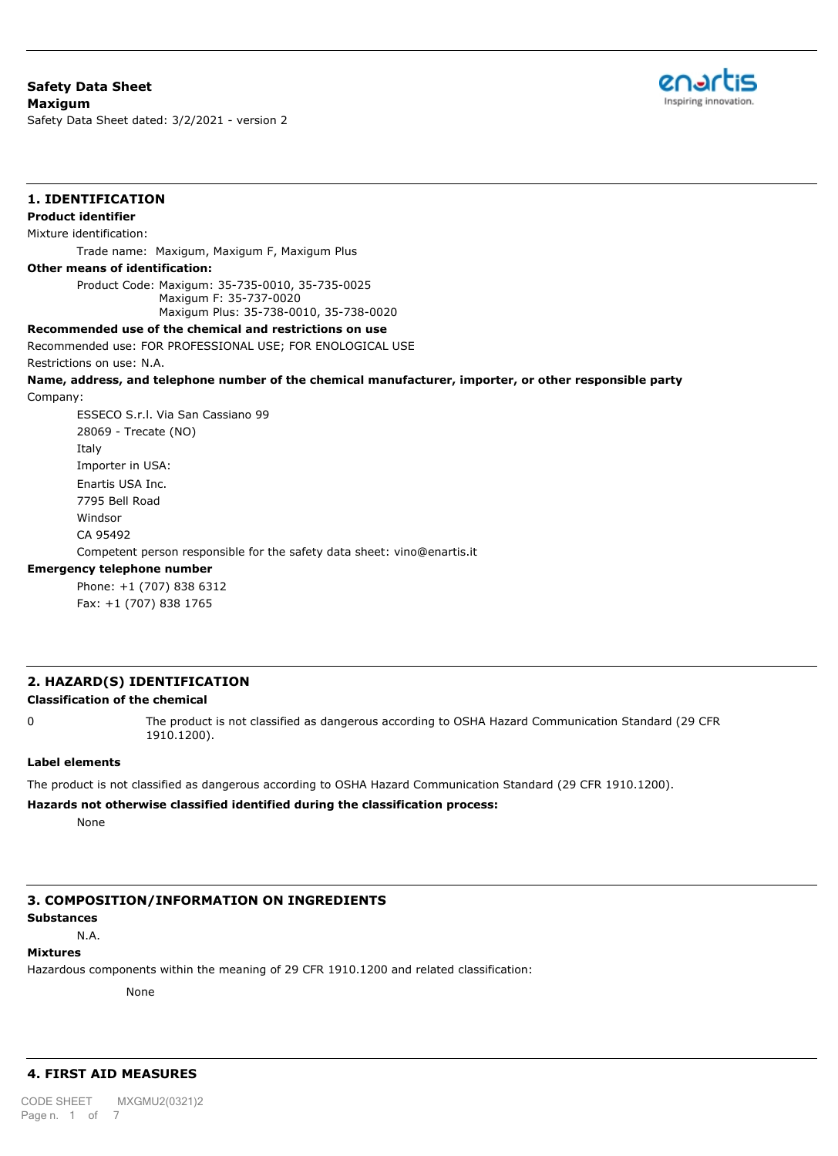# **Safety Data Sheet Maxigum**

**1. IDENTIFICATION**

Safety Data Sheet dated: 3/2/2021 - version 2



# **Product identifier** Mixture identification: Trade name: Maxigum, Maxigum F, Maxigum Plus **Other means of identification:** Product Code: Maxigum: 35-735-0010, 35-735-0025 Maxigum F: 35-737-0020 Maxigum Plus: 35-738-0010, 35-738-0020 **Recommended use of the chemical and restrictions on use** Recommended use: FOR PROFESSIONAL USE; FOR ENOLOGICAL USE Restrictions on use: N.A. **Name, address, and telephone number of the chemical manufacturer, importer, or other responsible party** Company: ESSECO S.r.l. Via San Cassiano 99 28069 - Trecate (NO)

Italy Importer in USA: Enartis USA Inc. 7795 Bell Road Windsor CA 95492 Competent person responsible for the safety data sheet: vino@enartis.it

# **Emergency telephone number**

Phone: +1 (707) 838 6312 Fax: +1 (707) 838 1765

# **2. HAZARD(S) IDENTIFICATION**

## **Classification of the chemical**

0 The product is not classified as dangerous according to OSHA Hazard Communication Standard (29 CFR 1910.1200).

#### **Label elements**

The product is not classified as dangerous according to OSHA Hazard Communication Standard (29 CFR 1910.1200).

#### **Hazards not otherwise classified identified during the classification process:**

None

# **3. COMPOSITION/INFORMATION ON INGREDIENTS**

# **Substances**

N.A.

# **Mixtures**

Hazardous components within the meaning of 29 CFR 1910.1200 and related classification:

None

# **4. FIRST AID MEASURES**

**Description of first aid measures** CODE SHEET MXGMU2(0321)2Page n. 1 of 7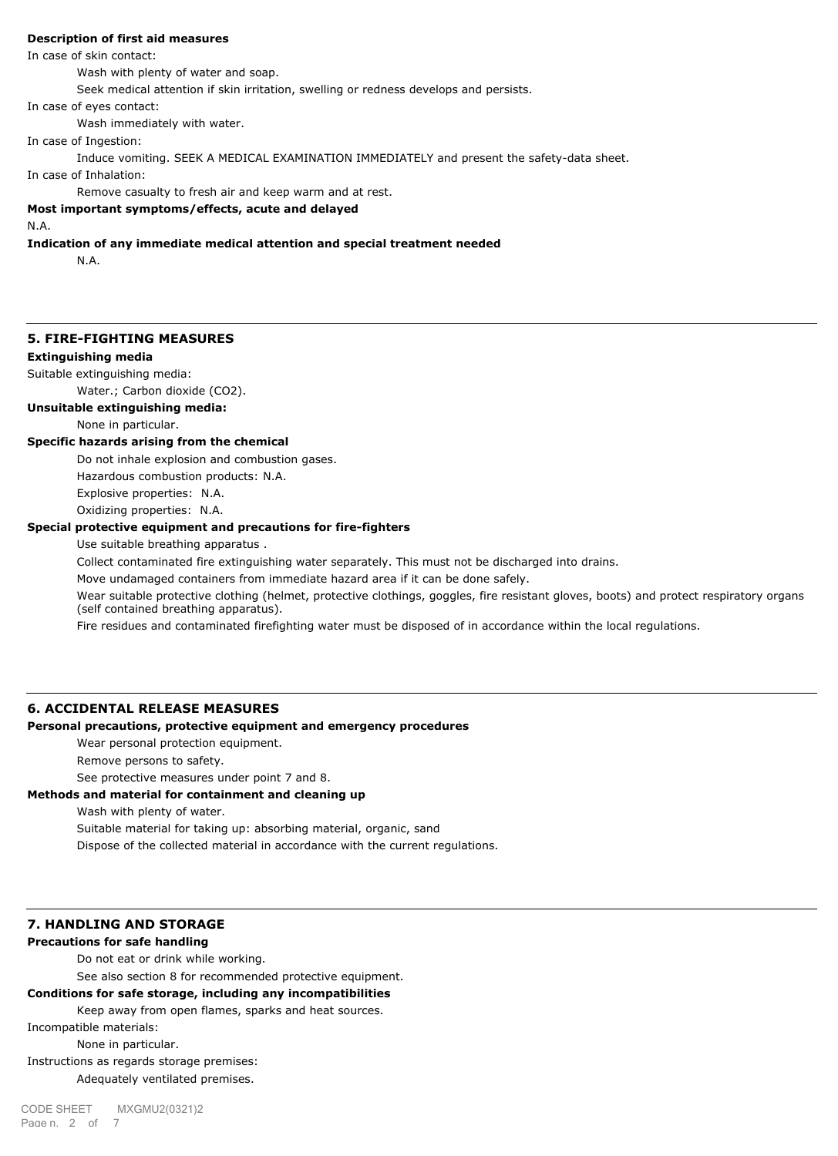## **Description of first aid measures**

In case of skin contact:

Wash with plenty of water and soap.

Seek medical attention if skin irritation, swelling or redness develops and persists.

In case of eyes contact:

Wash immediately with water.

In case of Ingestion:

Induce vomiting. SEEK A MEDICAL EXAMINATION IMMEDIATELY and present the safety-data sheet.

In case of Inhalation:

Remove casualty to fresh air and keep warm and at rest.

# **Most important symptoms/effects, acute and delayed**

#### N.A.

**Indication of any immediate medical attention and special treatment needed**

N.A.

# **5. FIRE-FIGHTING MEASURES**

## **Extinguishing media**

Suitable extinguishing media:

Water.; Carbon dioxide (CO2).

**Unsuitable extinguishing media:**

#### None in particular.

#### **Specific hazards arising from the chemical**

Do not inhale explosion and combustion gases. Hazardous combustion products: N.A. Explosive properties: N.A. Oxidizing properties: N.A.

#### **Special protective equipment and precautions for fire-fighters**

Use suitable breathing apparatus .

Collect contaminated fire extinguishing water separately. This must not be discharged into drains.

Move undamaged containers from immediate hazard area if it can be done safely.

Wear suitable protective clothing (helmet, protective clothings, goggles, fire resistant gloves, boots) and protect respiratory organs (self contained breathing apparatus).

Fire residues and contaminated firefighting water must be disposed of in accordance within the local regulations.

# **6. ACCIDENTAL RELEASE MEASURES**

## **Personal precautions, protective equipment and emergency procedures**

Wear personal protection equipment.

Remove persons to safety.

See protective measures under point 7 and 8.

## **Methods and material for containment and cleaning up**

Wash with plenty of water.

Suitable material for taking up: absorbing material, organic, sand

Dispose of the collected material in accordance with the current regulations.

#### **7. HANDLING AND STORAGE**

#### **Precautions for safe handling**

Do not eat or drink while working.

See also section 8 for recommended protective equipment.

# **Conditions for safe storage, including any incompatibilities**

Keep away from open flames, sparks and heat sources.

Incompatible materials:

None in particular.

Instructions as regards storage premises: Adequately ventilated premises.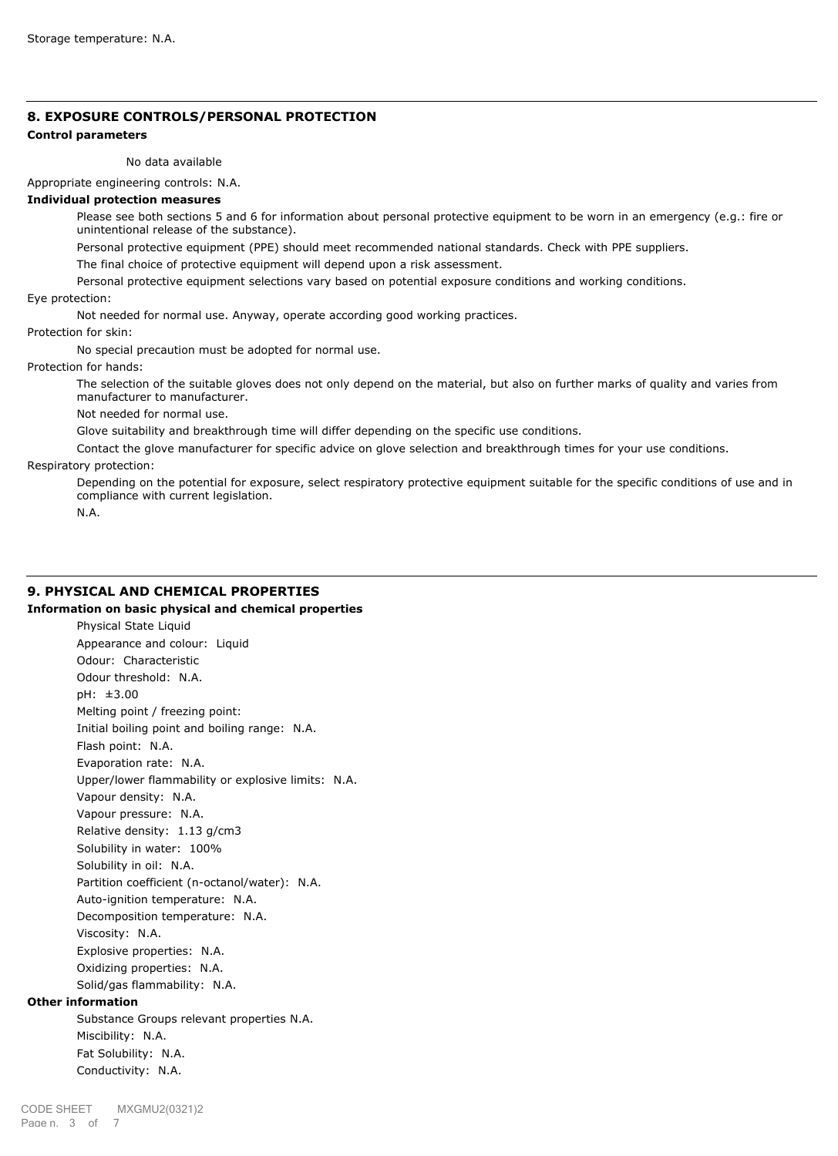# **8. EXPOSURE CONTROLS/PERSONAL PROTECTION**

# **Control parameters**

No data available

Appropriate engineering controls: N.A.

## **Individual protection measures**

Please see both sections 5 and 6 for information about personal protective equipment to be worn in an emergency (e.g.: fire or unintentional release of the substance).

Personal protective equipment (PPE) should meet recommended national standards. Check with PPE suppliers.

The final choice of protective equipment will depend upon a risk assessment.

Personal protective equipment selections vary based on potential exposure conditions and working conditions.

Eye protection:

Not needed for normal use. Anyway, operate according good working practices.

Protection for skin:

No special precaution must be adopted for normal use.

Protection for hands:

The selection of the suitable gloves does not only depend on the material, but also on further marks of quality and varies from manufacturer to manufacturer.

Not needed for normal use.

Glove suitability and breakthrough time will differ depending on the specific use conditions.

Contact the glove manufacturer for specific advice on glove selection and breakthrough times for your use conditions.

Respiratory protection:

Depending on the potential for exposure, select respiratory protective equipment suitable for the specific conditions of use and in compliance with current legislation.

N.A.

# **9. PHYSICAL AND CHEMICAL PROPERTIES**

## **Information on basic physical and chemical properties**

Physical State Liquid Appearance and colour: Liquid Odour: Characteristic Odour threshold: N.A. pH: ±3.00 Melting point / freezing point: Initial boiling point and boiling range: N.A. Flash point: N.A. Evaporation rate: N.A. Upper/lower flammability or explosive limits: N.A. Vapour density: N.A. Vapour pressure: N.A. Relative density: 1.13 g/cm3 Solubility in water: 100% Solubility in oil: N.A. Partition coefficient (n-octanol/water): N.A. Auto-ignition temperature: N.A. Decomposition temperature: N.A. Viscosity: N.A. Explosive properties: N.A. Oxidizing properties: N.A. Solid/gas flammability: N.A.

# **Other information**

Substance Groups relevant properties N.A. Miscibility: N.A. Fat Solubility: N.A. Conductivity: N.A.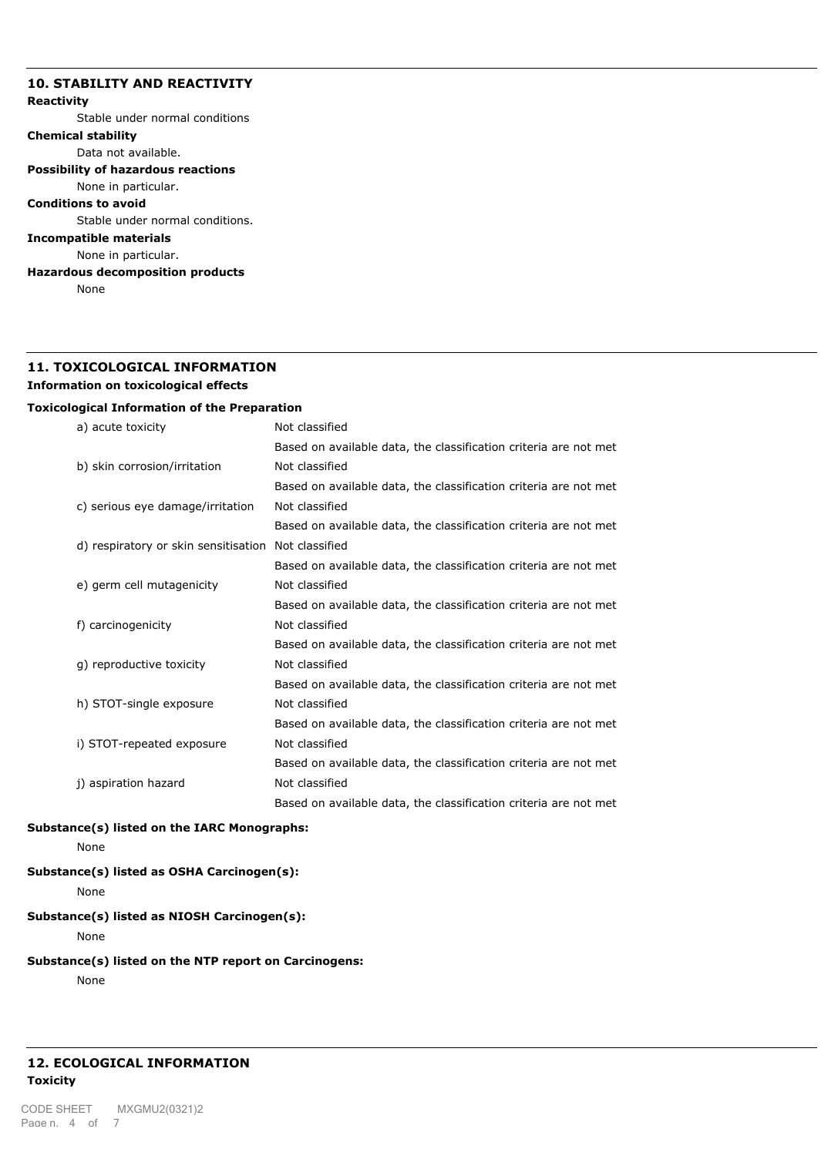# **10. STABILITY AND REACTIVITY**

# **Reactivity**

Stable under normal conditions

# **Chemical stability**

Data not available.

# **Possibility of hazardous reactions**

None in particular.

**Conditions to avoid**

Stable under normal conditions.

# **Incompatible materials**

None in particular.

**Hazardous decomposition products**

None

# **11. TOXICOLOGICAL INFORMATION Information on toxicological effects**

## **Toxicological Information of the Preparation**

| a) acute toxicity                    | Not classified                                                   |
|--------------------------------------|------------------------------------------------------------------|
|                                      | Based on available data, the classification criteria are not met |
| b) skin corrosion/irritation         | Not classified                                                   |
|                                      | Based on available data, the classification criteria are not met |
| c) serious eye damage/irritation     | Not classified                                                   |
|                                      | Based on available data, the classification criteria are not met |
| d) respiratory or skin sensitisation | Not classified                                                   |
|                                      | Based on available data, the classification criteria are not met |
| e) germ cell mutagenicity            | Not classified                                                   |
|                                      | Based on available data, the classification criteria are not met |
| f) carcinogenicity                   | Not classified                                                   |
|                                      | Based on available data, the classification criteria are not met |
| g) reproductive toxicity             | Not classified                                                   |
|                                      | Based on available data, the classification criteria are not met |
| h) STOT-single exposure              | Not classified                                                   |
|                                      | Based on available data, the classification criteria are not met |
| i) STOT-repeated exposure            | Not classified                                                   |
|                                      | Based on available data, the classification criteria are not met |
| j) aspiration hazard                 | Not classified                                                   |
|                                      | Based on available data, the classification criteria are not met |
|                                      |                                                                  |

#### **Substance(s) listed on the IARC Monographs:**

None

# **Substance(s) listed as OSHA Carcinogen(s):**

None

# **Substance(s) listed as NIOSH Carcinogen(s):**

None

# **Substance(s) listed on the NTP report on Carcinogens:**

None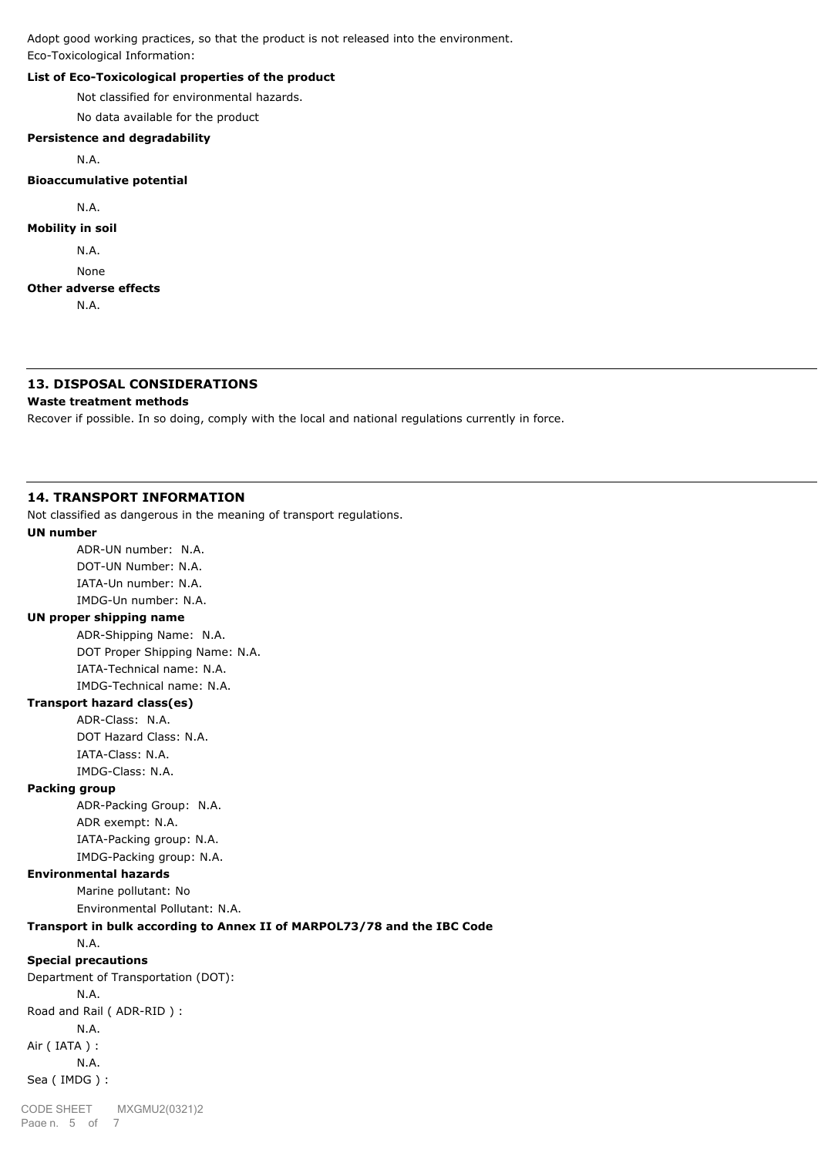Adopt good working practices, so that the product is not released into the environment. Eco-Toxicological Information:

# **List of Eco-Toxicological properties of the product**

Not classified for environmental hazards.

No data available for the product

#### **Persistence and degradability**

N.A.

## **Bioaccumulative potential**

N.A.

## **Mobility in soil**

N.A.

None

#### **Other adverse effects**

N.A.

# **13. DISPOSAL CONSIDERATIONS**

#### **Waste treatment methods**

Recover if possible. In so doing, comply with the local and national regulations currently in force.

#### **14. TRANSPORT INFORMATION**

Not classified as dangerous in the meaning of transport regulations.

## **UN number**

ADR-UN number: N.A. DOT-UN Number: N.A. IATA-Un number: N.A. IMDG-Un number: N.A.

## **UN proper shipping name**

ADR-Shipping Name: N.A. DOT Proper Shipping Name: N.A. IATA-Technical name: N.A. IMDG-Technical name: N.A.

## **Transport hazard class(es)**

ADR-Class: N.A. DOT Hazard Class: N.A. IATA-Class: N.A. IMDG-Class: N.A.

### **Packing group**

ADR-Packing Group: N.A. ADR exempt: N.A. IATA-Packing group: N.A. IMDG-Packing group: N.A.

#### **Environmental hazards**

Marine pollutant: No

Environmental Pollutant: N.A.

# **Transport in bulk according to Annex II of MARPOL73/78 and the IBC Code**

N.A.

## **Special precautions**

Department of Transportation (DOT): N.A. Road and Rail ( ADR-RID ) : N.A. Air ( IATA ) : N.A. Sea ( IMDG ) :

Page n. 5 of 7 CODE SHEET MXGMU2(0321)2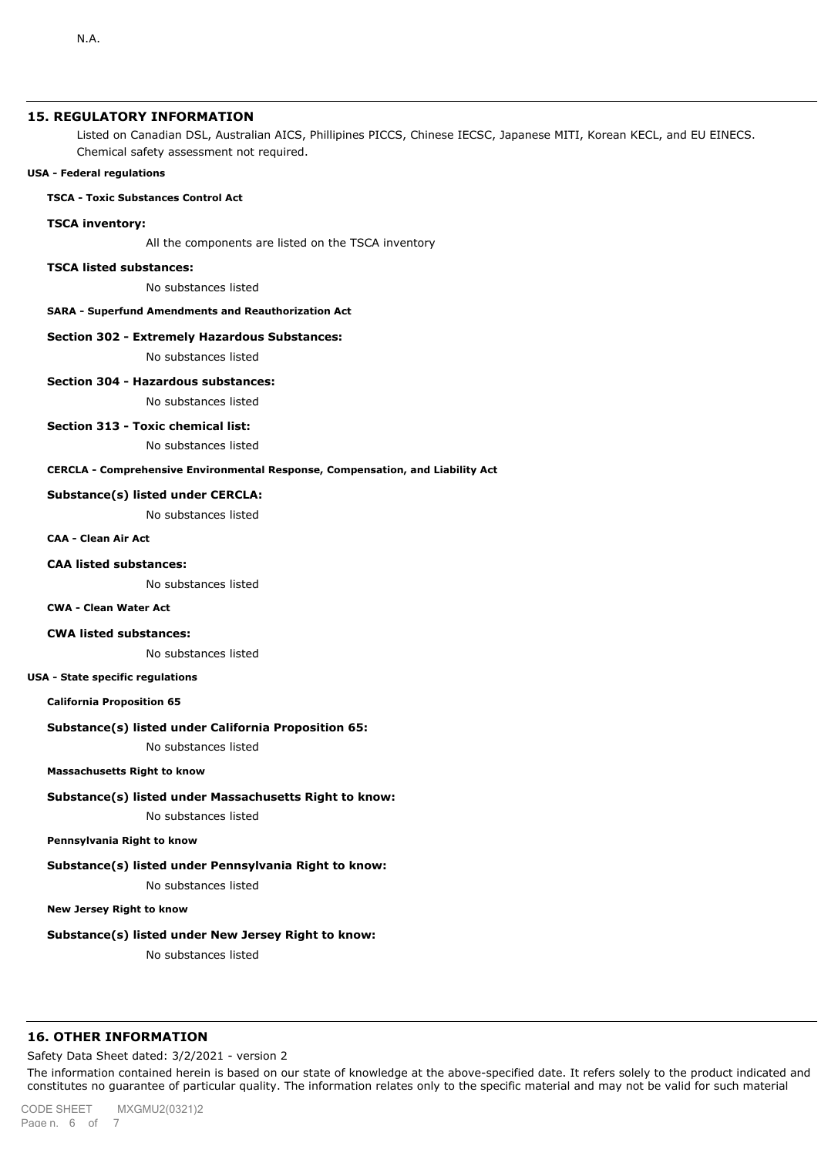# **15. REGULATORY INFORMATION**

Listed on Canadian DSL, Australian AICS, Phillipines PICCS, Chinese IECSC, Japanese MITI, Korean KECL, and EU EINECS. Chemical safety assessment not required.

#### **USA - Federal regulations**

#### **TSCA - Toxic Substances Control Act**

#### **TSCA inventory:**

All the components are listed on the TSCA inventory

#### **TSCA listed substances:**

No substances listed

#### **SARA - Superfund Amendments and Reauthorization Act**

#### **Section 302 - Extremely Hazardous Substances:**

No substances listed

# **Section 304 - Hazardous substances:** No substances listed

# **Section 313 - Toxic chemical list:**

No substances listed

#### **CERCLA - Comprehensive Environmental Response, Compensation, and Liability Act**

#### **Substance(s) listed under CERCLA:**

No substances listed

#### **CAA - Clean Air Act**

#### **CAA listed substances:**

No substances listed

#### **CWA - Clean Water Act**

#### **CWA listed substances:**

No substances listed

#### **USA - State specific regulations**

**California Proposition 65**

#### **Substance(s) listed under California Proposition 65:**

No substances listed

## **Massachusetts Right to know**

#### **Substance(s) listed under Massachusetts Right to know:**

No substances listed

#### **Pennsylvania Right to know**

## **Substance(s) listed under Pennsylvania Right to know:**

No substances listed

# **New Jersey Right to know**

#### **Substance(s) listed under New Jersey Right to know:**

No substances listed

#### **16. OTHER INFORMATION**

Safety Data Sheet dated: 3/2/2021 - version 2

The information contained herein is based on our state of knowledge at the above-specified date. It refers solely to the product indicated and constitutes no guarantee of particular quality. The information relates only to the specific material and may not be valid for such material